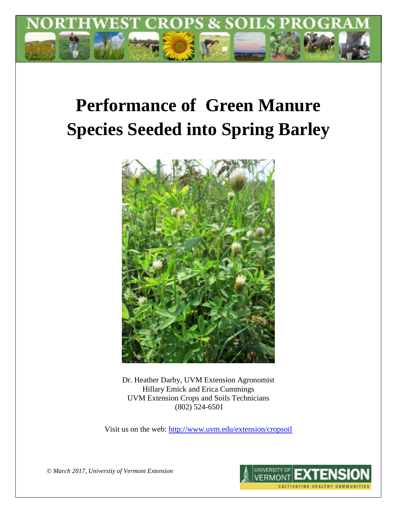

# **Performance of Green Manure Species Seeded into Spring Barley**



Dr. Heather Darby, UVM Extension Agronomist Hillary Emick and Erica Cummings UVM Extension Crops and Soils Technicians (802) 524-6501

Visit us on the web:<http://www.uvm.edu/extension/cropsoil>

*© March 2017, University of Vermont Extension*

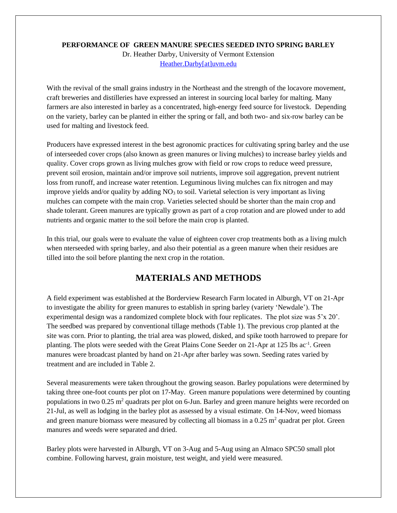### **PERFORMANCE OF GREEN MANURE SPECIES SEEDED INTO SPRING BARLEY**

Dr. Heather Darby, University of Vermont Extension [Heather.Darby\[at\]uvm.edu](mailto:Heather.Darby@uvm.edu)

With the revival of the small grains industry in the Northeast and the strength of the locavore movement, craft breweries and distilleries have expressed an interest in sourcing local barley for malting. Many farmers are also interested in barley as a concentrated, high-energy feed source for livestock. Depending on the variety, barley can be planted in either the spring or fall, and both two- and six-row barley can be used for malting and livestock feed.

Producers have expressed interest in the best agronomic practices for cultivating spring barley and the use of interseeded cover crops (also known as green manures or living mulches) to increase barley yields and quality. Cover crops grown as living mulches grow with field or row crops to reduce weed pressure, prevent soil erosion, maintain and/or improve soil nutrients, improve soil aggregation, prevent nutrient loss from runoff, and increase water retention. Leguminous living mulches can fix nitrogen and may improve yields and/or quality by adding  $NO<sub>3</sub>$  to soil. Varietal selection is very important as living mulches can compete with the main crop. Varieties selected should be shorter than the main crop and shade tolerant. Green manures are typically grown as part of a crop rotation and are plowed under to add nutrients and organic matter to the soil before the main crop is planted.

In this trial, our goals were to evaluate the value of eighteen cover crop treatments both as a living mulch when nterseeded with spring barley, and also their potential as a green manure when their residues are tilled into the soil before planting the next crop in the rotation.

# **MATERIALS AND METHODS**

A field experiment was established at the Borderview Research Farm located in Alburgh, VT on 21-Apr to investigate the ability for green manures to establish in spring barley (variety 'Newdale'). The experimental design was a randomized complete block with four replicates. The plot size was 5'x 20'. The seedbed was prepared by conventional tillage methods (Table 1). The previous crop planted at the site was corn. Prior to planting, the trial area was plowed, disked, and spike tooth harrowed to prepare for planting. The plots were seeded with the Great Plains Cone Seeder on 21-Apr at 125 lbs ac<sup>-1</sup>. Green manures were broadcast planted by hand on 21-Apr after barley was sown. Seeding rates varied by treatment and are included in Table 2.

Several measurements were taken throughout the growing season. Barley populations were determined by taking three one-foot counts per plot on 17-May. Green manure populations were determined by counting populations in two  $0.25$  m<sup>2</sup> quadrats per plot on 6-Jun. Barley and green manure heights were recorded on 21-Jul, as well as lodging in the barley plot as assessed by a visual estimate. On 14-Nov, weed biomass and green manure biomass were measured by collecting all biomass in a  $0.25$  m<sup>2</sup> quadrat per plot. Green manures and weeds were separated and dried.

Barley plots were harvested in Alburgh, VT on 3-Aug and 5-Aug using an Almaco SPC50 small plot combine. Following harvest, grain moisture, test weight, and yield were measured.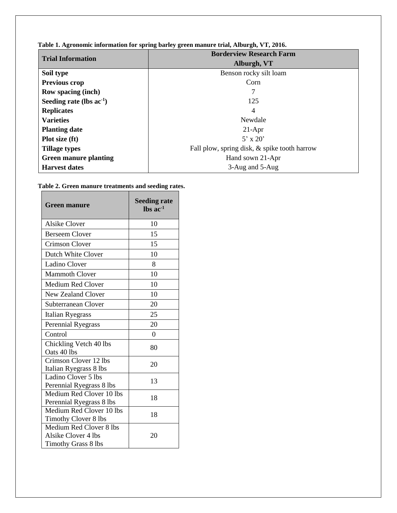| <b>Trial Information</b>      | <b>Borderview Research Farm</b>              |  |  |  |  |
|-------------------------------|----------------------------------------------|--|--|--|--|
|                               | Alburgh, VT                                  |  |  |  |  |
| Soil type                     | Benson rocky silt loam                       |  |  |  |  |
| Previous crop                 | Corn                                         |  |  |  |  |
| <b>Row spacing (inch)</b>     | 7                                            |  |  |  |  |
| Seeding rate (lbs $ac^{-1}$ ) | 125                                          |  |  |  |  |
| <b>Replicates</b>             | 4                                            |  |  |  |  |
| <b>Varieties</b>              | Newdale                                      |  |  |  |  |
| <b>Planting date</b>          | $21-Apr$                                     |  |  |  |  |
| Plot size (ft)                | $5' \times 20'$                              |  |  |  |  |
| <b>Tillage types</b>          | Fall plow, spring disk, & spike tooth harrow |  |  |  |  |
| <b>Green manure planting</b>  | Hand sown 21-Apr                             |  |  |  |  |
| <b>Harvest dates</b>          | 3-Aug and 5-Aug                              |  |  |  |  |

**Table 1. Agronomic information for spring barley green manure trial, Alburgh, VT, 2016.**

| Table 2. Green manure treatments and seeding rates. |  |  |  |  |
|-----------------------------------------------------|--|--|--|--|
|-----------------------------------------------------|--|--|--|--|

| <b>Green manure</b>                                                          | <b>Seeding rate</b><br>$\ln$ s ac <sup>-1</sup> |
|------------------------------------------------------------------------------|-------------------------------------------------|
| <b>Alsike Clover</b>                                                         | 10                                              |
| <b>Berseem Clover</b>                                                        | 15                                              |
| <b>Crimson Clover</b>                                                        | 15                                              |
| Dutch White Clover                                                           | 10                                              |
| <b>Ladino Clover</b>                                                         | 8                                               |
| <b>Mammoth Clover</b>                                                        | 10                                              |
| Medium Red Clover                                                            | 10                                              |
| <b>New Zealand Clover</b>                                                    | 10                                              |
| Subterranean Clover                                                          | 20                                              |
| Italian Ryegrass                                                             | 25                                              |
| <b>Perennial Ryegrass</b>                                                    | 20                                              |
| Control                                                                      | $\Omega$                                        |
| Chickling Vetch 40 lbs<br>Oats 40 lbs                                        | 80                                              |
| Crimson Clover 12 lbs<br>Italian Ryegrass 8 lbs                              | 20                                              |
| Ladino Clover 5 lbs<br>Perennial Ryegrass 8 lbs                              | 13                                              |
| Medium Red Clover 10 lbs<br>Perennial Ryegrass 8 lbs                         | 18                                              |
| Medium Red Clover 10 lbs<br>Timothy Clover 8 lbs                             | 18                                              |
| Medium Red Clover 8 lbs<br>Alsike Clover 4 lbs<br><b>Timothy Grass 8 lbs</b> | 20                                              |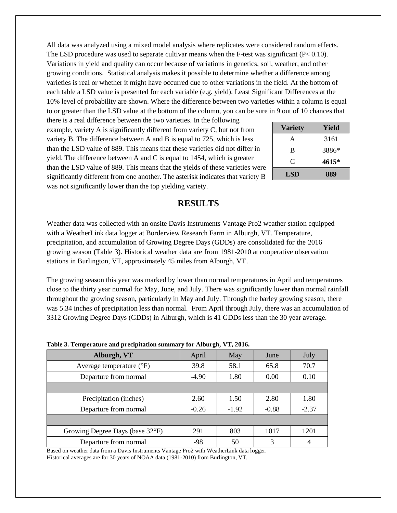All data was analyzed using a mixed model analysis where replicates were considered random effects. The LSD procedure was used to separate cultivar means when the F-test was significant  $(P< 0.10)$ . Variations in yield and quality can occur because of variations in genetics, soil, weather, and other growing conditions. Statistical analysis makes it possible to determine whether a difference among varieties is real or whether it might have occurred due to other variations in the field. At the bottom of each table a LSD value is presented for each variable (e.g. yield). Least Significant Differences at the 10% level of probability are shown. Where the difference between two varieties within a column is equal to or greater than the LSD value at the bottom of the column, you can be sure in 9 out of 10 chances that

there is a real difference between the two varieties. In the following example, variety A is significantly different from variety C, but not from variety B. The difference between A and B is equal to 725, which is less than the LSD value of 889. This means that these varieties did not differ in yield. The difference between A and C is equal to 1454, which is greater than the LSD value of 889. This means that the yields of these varieties were significantly different from one another. The asterisk indicates that variety B was not significantly lower than the top yielding variety.

| <b>Variety</b> | Yield |  |  |  |
|----------------|-------|--|--|--|
| A              | 3161  |  |  |  |
| B              | 3886* |  |  |  |
| C              | 4615* |  |  |  |
| LSD            | 889   |  |  |  |

## **RESULTS**

Weather data was collected with an onsite Davis Instruments Vantage Pro2 weather station equipped with a WeatherLink data logger at Borderview Research Farm in Alburgh, VT. Temperature, precipitation, and accumulation of Growing Degree Days (GDDs) are consolidated for the 2016 growing season (Table 3). Historical weather data are from 1981-2010 at cooperative observation stations in Burlington, VT, approximately 45 miles from Alburgh, VT.

The growing season this year was marked by lower than normal temperatures in April and temperatures close to the thirty year normal for May, June, and July. There was significantly lower than normal rainfall throughout the growing season, particularly in May and July. Through the barley growing season, there was 5.34 inches of precipitation less than normal. From April through July, there was an accumulation of 3312 Growing Degree Days (GDDs) in Alburgh, which is 41 GDDs less than the 30 year average.

| Those of Temperature with precipitation building $\frac{1}{2}$ for Thomas $\frac{1}{2}$ is $\frac{1}{2}$ |         |         |         |         |  |
|----------------------------------------------------------------------------------------------------------|---------|---------|---------|---------|--|
| Alburgh, VT                                                                                              | April   | May     | June    | July    |  |
| Average temperature $(^{\circ}F)$                                                                        | 39.8    | 58.1    | 65.8    | 70.7    |  |
| Departure from normal                                                                                    | $-4.90$ | 1.80    | 0.00    | 0.10    |  |
|                                                                                                          |         |         |         |         |  |
| Precipitation (inches)                                                                                   | 2.60    | 1.50    | 2.80    | 1.80    |  |
| Departure from normal                                                                                    | $-0.26$ | $-1.92$ | $-0.88$ | $-2.37$ |  |
|                                                                                                          |         |         |         |         |  |
| Growing Degree Days (base 32°F)                                                                          | 291     | 803     | 1017    | 1201    |  |
| Departure from normal                                                                                    | -98     | 50      | 3       | 4       |  |

| Table 3. Temperature and precipitation summary for Alburgh, VT, 2016. |  |  |  |
|-----------------------------------------------------------------------|--|--|--|
|-----------------------------------------------------------------------|--|--|--|

Based on weather data from a Davis Instruments Vantage Pro2 with WeatherLink data logger. Historical averages are for 30 years of NOAA data (1981-2010) from Burlington, VT.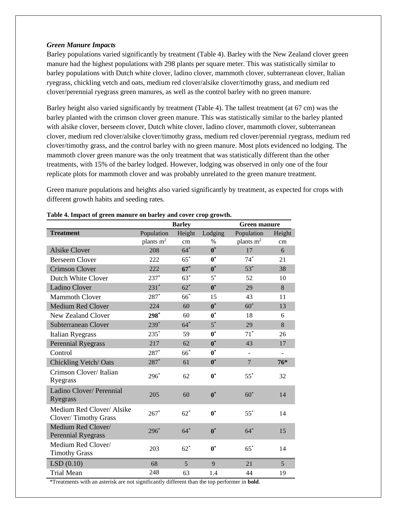#### *Green Manure Impacts*

Barley populations varied significantly by treatment (Table 4). Barley with the New Zealand clover green manure had the highest populations with 298 plants per square meter. This was statistically similar to barley populations with Dutch white clover, ladino clover, mammoth clover, subterranean clover, Italian ryegrass, chickling vetch and oats, medium red clover/alsike clover/timothy grass, and medium red clover/perennial ryegrass green manures, as well as the control barley with no green manure.

Barley height also varied significantly by treatment (Table 4). The tallest treatment (at 67 cm) was the barley planted with the crimson clover green manure. This was statistically similar to the barley planted with alsike clover, berseem clover, Dutch white clover, ladino clover, mammoth clover, subterranean clover, medium red clover/alsike clover/timothy grass, medium red clover/perennial ryegrass, medium red clover/timothy grass, and the control barley with no green manure. Most plots evidenced no lodging. The mammoth clover green manure was the only treatment that was statistically different than the other treatments, with 15% of the barley lodged. However, lodging was observed in only one of the four replicate plots for mammoth clover and was probably unrelated to the green manure treatment.

Green manure populations and heights also varied significantly by treatment, as expected for crops with different growth habits and seeding rates.

|                                                   |                       | <b>Barley</b> |                    | <b>Green manure</b> |        |
|---------------------------------------------------|-----------------------|---------------|--------------------|---------------------|--------|
| <b>Treatment</b>                                  | Population            | Height        | Lodging            | Population          | Height |
|                                                   | plants m <sup>2</sup> | cm            | $\%$               | plants $m2$         | cm     |
| <b>Alsike Clover</b>                              | 208                   | $64*$         | $\boldsymbol{0}^*$ | 17                  | 6      |
| <b>Berseem Clover</b>                             | 222                   | $65^*$        | $0^*$              | $74*$               | 21     |
| <b>Crimson Clover</b>                             | 222                   | $67*$         | $\boldsymbol{0}^*$ | $53*$               | 38     |
| Dutch White Clover                                | $237*$                | $63*$         | $5^*$              | 52                  | 10     |
| Ladino Clover                                     | $231*$                | $62*$         | $\boldsymbol{0}^*$ | 29                  | 8      |
| <b>Mammoth Clover</b>                             | $287*$                | 66*           | 15                 | 43                  | 11     |
| <b>Medium Red Clover</b>                          | 224                   | 60            | $0^*$              | $60^*$              | 13     |
| <b>New Zealand Clover</b>                         | $298*$                | 60            | $\boldsymbol{0}^*$ | 18                  | 6      |
| Subterranean Clover                               | 239*                  | $64*$         | $5^*$              | 29                  | 8      |
| <b>Italian Ryegrass</b>                           | $235*$                | 59            | $\boldsymbol{0}^*$ | $71*$               | 26     |
| <b>Perennial Ryegrass</b>                         | 217                   | 62            | $\boldsymbol{0}^*$ | 43                  | 17     |
| Control                                           | $287*$                | $66*$         | $0^*$              |                     |        |
| Chickling Vetch/Oats                              | $287*$                | 61            | $\boldsymbol{0}^*$ | $\overline{7}$      | $76*$  |
| Crimson Clover/ Italian<br>Ryegrass               | $296*$                | 62            | $0^*$              | $55^*$              | 32     |
| Ladino Clover/ Perennial<br>Ryegrass              | 205                   | 60            | $\boldsymbol{0}^*$ | $60*$               | 14     |
| Medium Red Clover/ Alsike<br>Clover/Timothy Grass | $267*$                | $62*$         | $0^*$              | $55*$               | 14     |
| Medium Red Clover/<br><b>Perennial Ryegrass</b>   | $296*$                | $64*$         | $0^*$              | $64*$               | 15     |
| Medium Red Clover/<br><b>Timothy Grass</b>        | 203                   | $62^*$        | $\boldsymbol{0}^*$ | $65^*$              | 14     |
| LSD(0.10)                                         | 68                    | 5             | 9                  | 21                  | 5      |
| <b>Trial Mean</b>                                 | 248                   | 63            | 1.4                | 44                  | 19     |

**Table 4. Impact of green manure on barley and cover crop growth.**

\*Treatments with an asterisk are not significantly different than the top performer in **bold**.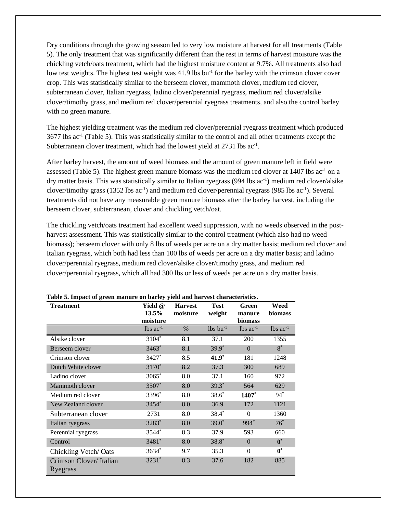Dry conditions through the growing season led to very low moisture at harvest for all treatments (Table 5). The only treatment that was significantly different than the rest in terms of harvest moisture was the chickling vetch/oats treatment, which had the highest moisture content at 9.7%. All treatments also had low test weights. The highest test weight was 41.9 lbs bu<sup>-1</sup> for the barley with the crimson clover cover crop. This was statistically similar to the berseem clover, mammoth clover, medium red clover, subterranean clover, Italian ryegrass, ladino clover/perennial ryegrass, medium red clover/alsike clover/timothy grass, and medium red clover/perennial ryegrass treatments, and also the control barley with no green manure.

The highest yielding treatment was the medium red clover/perennial ryegrass treatment which produced 3677 lbs ac-1 (Table 5). This was statistically similar to the control and all other treatments except the Subterranean clover treatment, which had the lowest yield at 2731 lbs ac<sup>-1</sup>.

After barley harvest, the amount of weed biomass and the amount of green manure left in field were assessed (Table 5). The highest green manure biomass was the medium red clover at  $1407$  lbs ac<sup>-1</sup> on a dry matter basis. This was statistically similar to Italian ryegrass (994 lbs ac<sup>-1</sup>) medium red clover/alsike clover/timothy grass (1352 lbs ac<sup>-1</sup>) and medium red clover/perennial ryegrass (985 lbs ac<sup>-1</sup>). Several treatments did not have any measurable green manure biomass after the barley harvest, including the berseem clover, subterranean, clover and chickling vetch/oat.

The chickling vetch/oats treatment had excellent weed suppression, with no weeds observed in the postharvest assessment. This was statistically similar to the control treatment (which also had no weed biomass); berseem clover with only 8 lbs of weeds per acre on a dry matter basis; medium red clover and Italian ryegrass, which both had less than 100 lbs of weeds per acre on a dry matter basis; and ladino clover/perennial ryegrass, medium red clover/alsike clover/timothy grass, and medium red clover/perennial ryegrass, which all had 300 lbs or less of weeds per acre on a dry matter basis.

| <b>Treatment</b>                    | Yield @<br>13.5%<br>moisture | <b>Harvest</b><br>moisture | <b>Test</b><br>weight  | Green<br>manure<br><b>biomass</b> | Weed<br>biomass        |
|-------------------------------------|------------------------------|----------------------------|------------------------|-----------------------------------|------------------------|
|                                     | $lbs$ ac <sup>-1</sup>       | $\%$                       | $lbs$ bu <sup>-1</sup> | $lbs$ ac <sup>-1</sup>            | $lbs$ ac <sup>-1</sup> |
| Alsike clover                       | 3104*                        | 8.1                        | 37.1                   | 200                               | 1355                   |
| Berseem clover                      | 3463*                        | 8.1                        | $39.9*$                | $\Omega$                          | $8^*$                  |
| Crimson clover                      | 3427*                        | 8.5                        | $41.9*$                | 181                               | 1248                   |
| Dutch White clover                  | 3170*                        | 8.2                        | 37.3                   | 300                               | 689                    |
| Ladino clover                       | $3065*$                      | 8.0                        | 37.1                   | 160                               | 972                    |
| Mammoth clover                      | 3507*                        | 8.0                        | $39.3*$                | 564                               | 629                    |
| Medium red clover                   | 3396*                        | 8.0                        | $38.6*$                | 1407*                             | $94*$                  |
| New Zealand clover                  | 3454*                        | 8.0                        | 36.9                   | 172                               | 1121                   |
| Subterranean clover                 | 2731                         | 8.0                        | $38.4*$                | $\Omega$                          | 1360                   |
| Italian ryegrass                    | 3283*                        | 8.0                        | $39.0*$                | 994*                              | $76^*$                 |
| Perennial ryegrass                  | 3544*                        | 8.3                        | 37.9                   | 593                               | 660                    |
| Control                             | 3481*                        | 8.0                        | $38.8*$                | $\theta$                          | $\boldsymbol{0}^*$     |
| Chickling Vetch/Oats                | 3634*                        | 9.7                        | 35.3                   | $\Omega$                          | $\boldsymbol{0}^*$     |
| Crimson Clover/ Italian<br>Ryegrass | $3231*$                      | 8.3                        | 37.6                   | 182                               | 885                    |

**Table 5. Impact of green manure on barley yield and harvest characteristics.**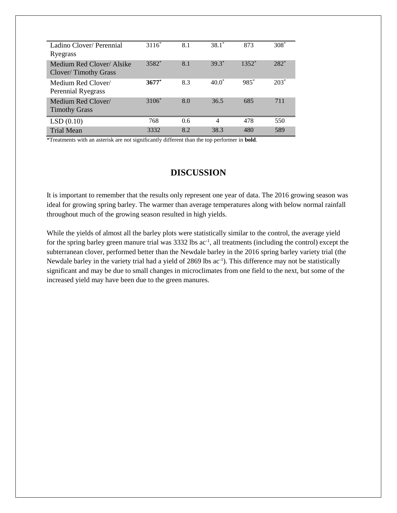| Ladino Clover/Perennial<br>Ryegrass               | $3116*$ | 8.1 | $38.1*$  | 873     | $308*$ |
|---------------------------------------------------|---------|-----|----------|---------|--------|
| Medium Red Clover/ Alsike<br>Clover/Timothy Grass | 3582*   | 8.1 | $39.3*$  | $1352*$ | $282*$ |
| Medium Red Clover/<br>Perennial Ryegrass          | $3677*$ | 8.3 | $40.0^*$ | $985*$  | $203*$ |
| Medium Red Clover/<br><b>Timothy Grass</b>        | 3106*   | 8.0 | 36.5     | 685     | 711    |
| LSD(0.10)                                         | 768     | 0.6 | 4        | 478     | 550    |
| <b>Trial Mean</b>                                 | 3332    | 8.2 | 38.3     | 480     | 589    |

\*Treatments with an asterisk are not significantly different than the top performer in **bold**.

## **DISCUSSION**

It is important to remember that the results only represent one year of data. The 2016 growing season was ideal for growing spring barley. The warmer than average temperatures along with below normal rainfall throughout much of the growing season resulted in high yields.

While the yields of almost all the barley plots were statistically similar to the control, the average yield for the spring barley green manure trial was 3332 lbs ac<sup>-1</sup>, all treatments (including the control) except the subterranean clover, performed better than the Newdale barley in the 2016 spring barley variety trial (the Newdale barley in the variety trial had a yield of 2869 lbs ac<sup>-1</sup>). This difference may not be statistically significant and may be due to small changes in microclimates from one field to the next, but some of the increased yield may have been due to the green manures.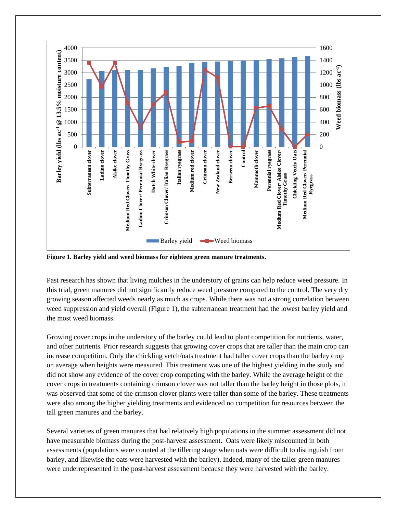

**Figure 1. Barley yield and weed biomass for eighteen green manure treatments.**

Past research has shown that living mulches in the understory of grains can help reduce weed pressure. In this trial, green manures did not significantly reduce weed pressure compared to the control. The very dry growing season affected weeds nearly as much as crops. While there was not a strong correlation between weed suppression and yield overall (Figure 1), the subterranean treatment had the lowest barley yield and the most weed biomass.

Growing cover crops in the understory of the barley could lead to plant competition for nutrients, water, and other nutrients. Prior research suggests that growing cover crops that are taller than the main crop can increase competition. Only the chickling vetch/oats treatment had taller cover crops than the barley crop on average when heights were measured. This treatment was one of the highest yielding in the study and did not show any evidence of the cover crop competing with the barley. While the average height of the cover crops in treatments containing crimson clover was not taller than the barley height in those plots, it was observed that some of the crimson clover plants were taller than some of the barley. These treatments were also among the higher yielding treatments and evidenced no competition for resources between the tall green manures and the barley.

Several varieties of green manures that had relatively high populations in the summer assessment did not have measurable biomass during the post-harvest assessment. Oats were likely miscounted in both assessments (populations were counted at the tillering stage when oats were difficult to distinguish from barley, and likewise the oats were harvested with the barley). Indeed, many of the taller green manures were underrepresented in the post-harvest assessment because they were harvested with the barley.